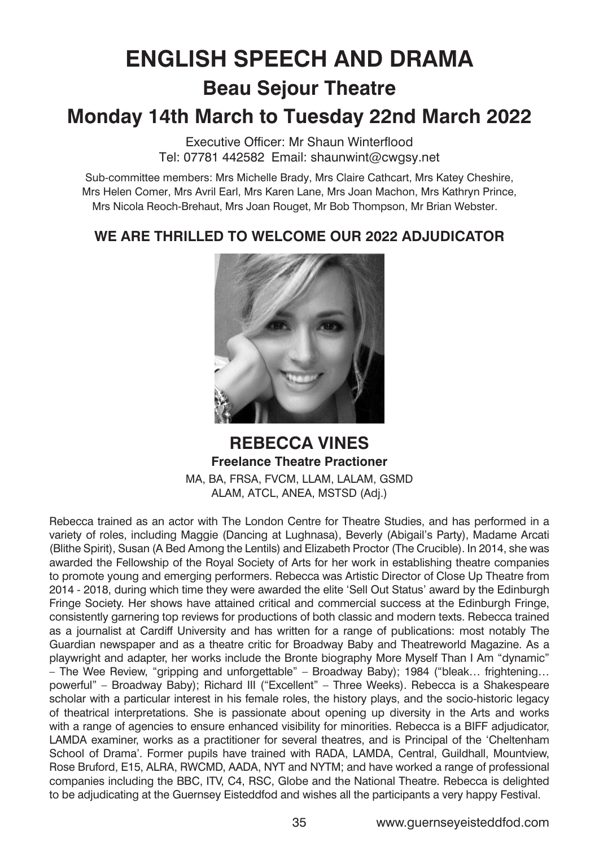# **ENGLISH SPEECH AND DRAMA Beau Sejour Theatre**

## **Monday 14th March to Tuesday 22nd March 2022**

Executive Officer: Mr Shaun Winterflood Tel: 07781 442582 Email: shaunwint@cwgsy.net

Sub-committee members: Mrs Michelle Brady, Mrs Claire Cathcart, Mrs Katey Cheshire, Mrs Helen Comer, Mrs Avril Earl, Mrs Karen Lane, Mrs Joan Machon, Mrs Kathryn Prince, Mrs Nicola Reoch-Brehaut, Mrs Joan Rouget, Mr Bob Thompson, Mr Brian Webster.

### **WE ARE THRILLED TO WELCOME OUR 2022 ADJUDICATOR**



**REBECCA VINES Freelance Theatre Practioner** MA, BA, FRSA, FVCM, LLAM, LALAM, GSMD ALAM, ATCL, ANEA, MSTSD (Adj.)

Rebecca trained as an actor with The London Centre for Theatre Studies, and has performed in a variety of roles, including Maggie (Dancing at Lughnasa), Beverly (Abigail's Party), Madame Arcati (Blithe Spirit), Susan (A Bed Among the Lentils) and Elizabeth Proctor (The Crucible). In 2014, she was awarded the Fellowship of the Royal Society of Arts for her work in establishing theatre companies to promote young and emerging performers. Rebecca was Artistic Director of Close Up Theatre from 2014 - 2018, during which time they were awarded the elite 'Sell Out Status' award by the Edinburgh Fringe Society. Her shows have attained critical and commercial success at the Edinburgh Fringe, consistently garnering top reviews for productions of both classic and modern texts. Rebecca trained as a journalist at Cardiff University and has written for a range of publications: most notably The Guardian newspaper and as a theatre critic for Broadway Baby and Theatreworld Magazine. As a playwright and adapter, her works include the Bronte biography More Myself Than I Am "dynamic" – The Wee Review, "gripping and unforgettable" – Broadway Baby); 1984 ("bleak… frightening… powerful" – Broadway Baby); Richard III ("Excellent" – Three Weeks). Rebecca is a Shakespeare scholar with a particular interest in his female roles, the history plays, and the socio-historic legacy of theatrical interpretations. She is passionate about opening up diversity in the Arts and works with a range of agencies to ensure enhanced visibility for minorities. Rebecca is a BIFF adjudicator, LAMDA examiner, works as a practitioner for several theatres, and is Principal of the 'Cheltenham School of Drama'. Former pupils have trained with RADA, LAMDA, Central, Guildhall, Mountview, Rose Bruford, E15, ALRA, RWCMD, AADA, NYT and NYTM; and have worked a range of professional companies including the BBC, ITV, C4, RSC, Globe and the National Theatre. Rebecca is delighted to be adjudicating at the Guernsey Eisteddfod and wishes all the participants a very happy Festival.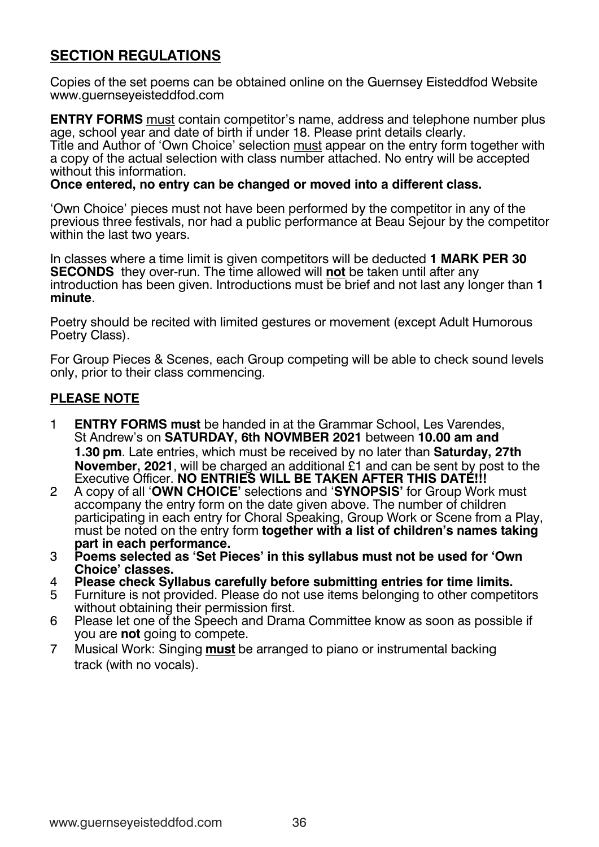### **SECTION REGULATIONS**

Copies of the set poems can be obtained online on the Guernsey Eisteddfod Website www.guernseyeisteddfod.com

**ENTRY FORMS** must contain competitor's name, address and telephone number plus age, school year and date of birth if under 18. Please print details clearly. Title and Author of 'Own Choice' selection must appear on the entry form together with a copy of the actual selection with class number attached. No entry will be accepted without this information.

#### **Once entered, no entry can be changed or moved into a different class.**

'Own Choice' pieces must not have been performed by the competitor in any of the previous three festivals, nor had a public performance at Beau Sejour by the competitor within the last two years.

In classes where a time limit is given competitors will be deducted **1 MARK PER 30 SECONDS** they over-run. The time allowed will **not** be taken until after any introduction has been given. Introductions must be brief and not last any longer than **1 minute**.

Poetry should be recited with limited gestures or movement (except Adult Humorous Poetry Class).

For Group Pieces & Scenes, each Group competing will be able to check sound levels only, prior to their class commencing.

#### **PLEASE NOTE**

- 1 **ENTRY FORMS must** be handed in at the Grammar School, Les Varendes, St Andrew's on **SATURDAY, 6th NOVMBER 2021** between **10.00 am and 1.30 pm**. Late entries, which must be received by no later than **Saturday, 27th November, 2021**, will be charged an additional £1 and can be sent by post to the Executive Officer. **NO ENTRIES WILL BE TAKEN AFTER THIS DATE!!!**
- 2 A copy of all '**OWN CHOICE'** selections and '**SYNOPSIS'** for Group Work must accompany the entry form on the date given above. The number of children participating in each entry for Choral Speaking, Group Work or Scene from a Play, must be noted on the entry form **together with a list of children's names taking part in each performance.**
- 3 **Poems selected as 'Set Pieces' in this syllabus must not be used for 'Own Choice' classes.**
- 4 **Please check Syllabus carefully before submitting entries for time limits.**
- 5 Furniture is not provided. Please do not use items belonging to other competitors without obtaining their permission first.
- 6 Please let one of the Speech and Drama Committee know as soon as possible if you are **not** going to compete.
- 7 Musical Work: Singing **must** be arranged to piano or instrumental backing track (with no vocals).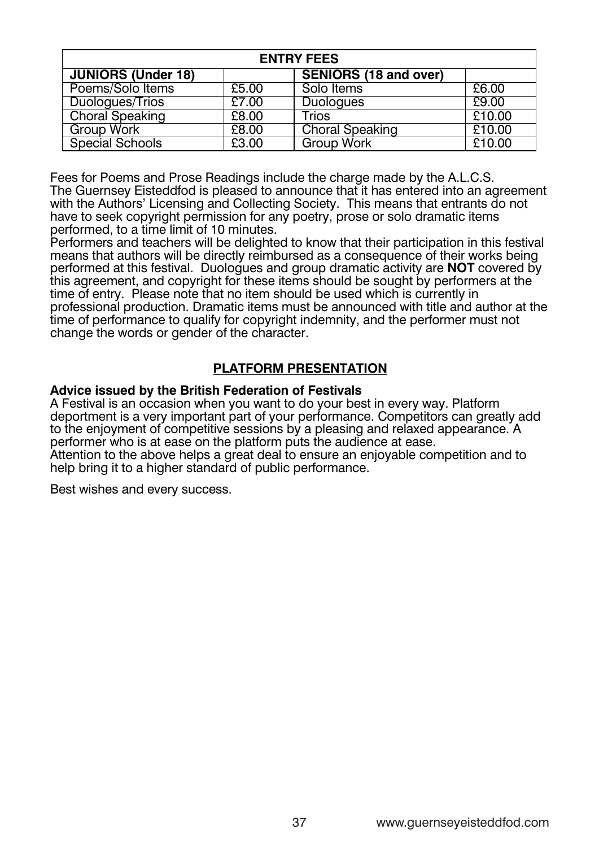| <b>ENTRY FEES</b>         |       |                              |        |  |  |  |
|---------------------------|-------|------------------------------|--------|--|--|--|
| <b>JUNIORS (Under 18)</b> |       | <b>SENIORS (18 and over)</b> |        |  |  |  |
| Poems/Solo Items          | £5.00 | Solo Items                   | £6.00  |  |  |  |
| Duologues/Trios           | £7.00 | <b>Duologues</b>             | £9.00  |  |  |  |
| <b>Choral Speaking</b>    | £8.00 | <b>Trios</b>                 | £10.00 |  |  |  |
| <b>Group Work</b>         | £8.00 | <b>Choral Speaking</b>       | £10.00 |  |  |  |
| <b>Special Schools</b>    | £3.00 | <b>Group Work</b>            | £10.00 |  |  |  |
| <b>ONGUIGI OUI IUUIS</b>  | LU.UU | <b>VIUUP YVUIN</b>           | LIU.UU |  |  |  |

Fees for Poems and Prose Readings include the charge made by the A.L.C.S. The Guernsey Eisteddfod is pleased to announce that it has entered into an agreement with the Authors' Licensing and Collecting Society. This means that entrants do not have to seek copyright permission for any poetry, prose or solo dramatic items performed, to a time limit of 10 minutes. The delighted to know that the delighted to know the delighted to know the delighted to know the delighted to know the delighted to know the delighted to know the delighted to know Fees for Poems and Prose Readings include the charge made by the A.L.C.S.

Performers and teachers will be delighted to know that their participation in this festival means that authors will be directly reimbursed as a consequence of their works being performed at this festival. Duologues and group dramatic activity are **NOT** covered by this agreement, and copyright for these items should be sought by performers at the time of entry. Please note that no item should be used which is currently in professional production. Dramatic items must be announced with title and author at the time of performance to qualify for copyright indemnity, and the performer must not change the words or gender of the character.

#### **PLATFORM PRESENTATION Advice issued by the British Federation of Festivals**

#### **Advice issued by the British Federation of Festivals** Ivice issued by the British Federation of Festivals

A Festival is an occasion when you want to do your best in every way. Platform deportment is a very important part of your performance. Competitors can greatly add to the enjoyment of competitive sessions by a pleasing and relaxed appearance. A<br>performer who is at ease on the platform puts the audience at ease. performer who is at ease on the platform puts the audience at ease.<br>Attention to the above helps a great deal to ensure an enjoyable competition and to help bring it to a higher standard of public performance. Best with a single success.

Best wishes and every success.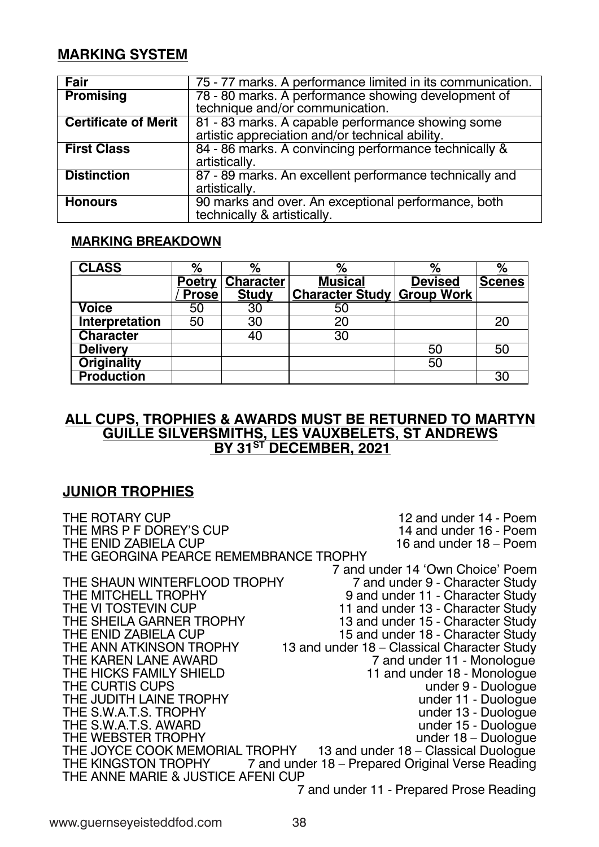### **MARKING SYSTEM MARKING SYSTEM MARKING SYSTEM MARKING SYSTEM**

| <b>Hallia</b> ir        | 755-5777 maaldist AA väe pidenimaana ee ühhitidatei on itisist soom muunimaatia otio n            |
|-------------------------|---------------------------------------------------------------------------------------------------|
| <b>HP Bonainsinging</b> | 783-8808 Charandest AA väeren teolooma aan aastast ostmoningip opterkehing oppeen te to to f      |
|                         | tectcloringingerenalytor/occommonmoinatatabion.                                                   |
| CGBHilicanta Maddittit  | 83 8 1833 Charaktes AA de apa ab de tro en électronarana e este le bonominaires camera e          |
|                         | aataististaapappassalationanakko/toedeloiniaataabalitikivtv.                                      |
| <b>Hilish Clubbes s</b> | 894-856 that less A-Accorovincia apprésent natural é édidaminative & &                            |
|                         | aatastististata/ly.                                                                               |
| <b>Distriction</b>      | 83787899993aaadasto AAn Aanaces titelde to to perfectionaan area te et electrica alta Agana ici d |
|                         | aatassistata/ly.                                                                                  |
| <b>Hömmomsers</b>       | 999 Charakteseanaldadveeve AAn Aeroesaperiodia alapepie ofronarna ee elo bitoth                   |
|                         | t eedel on mixaaldyby B& a Batalois bilabida kl v.                                                |

#### **MARKING BREAKDOWN MARKING BREAKDOWN MARKING BREAKDOWN MARKING BREAKDOWN**

| <b>CCASSS</b>       | $\frac{9}{0}$ | $\frac{9}{9}$         | $\frac{9}{0}$                            | $\frac{9}{9}$       | $\frac{9}{0}$  |
|---------------------|---------------|-----------------------|------------------------------------------|---------------------|----------------|
|                     |               | <b>PBettyCoarater</b> | <b>Musisiatal</b>                        | D <b>Deisised</b> d | <b>S6caass</b> |
|                     | PPorsee       | <b>S&amp;tddy</b>     | <b>CGaractete S&amp;tdylyGGoop MMdrk</b> |                     |                |
| <b>Voltaiee</b>     | 560           | 330                   | 560                                      |                     |                |
| Interepretation     | 560           | 330                   | 2020                                     |                     | 2020           |
| <b>C6aradeter</b>   |               | 400                   | 330                                      |                     |                |
| <b>DBlevierey v</b> |               |                       |                                          | 560                 | 560            |
| <b>Odgigiality</b>  |               |                       |                                          | 560                 |                |
| <b>Proddatition</b> |               |                       |                                          |                     | 300            |

#### <u>ALL CUPS, TROPHIES & AWARDS MUST BE RETURNED TO MARTYN</u> **GUILLE SILVERSMITHS, LES VAUXBELETS, ST ANDREWS BY 31ST DECEMBER, 2021 GUILLE SILVERSMITHS, LES VAUXBELETS, ST ANDREWS BY 31ST DECEMBER, 2021 GUILLE SILVERSMITHS, LES VAUXBELETS, ST ANDREWS BY 31ST DECEMBER, 2021 GUILLE SILVERSMITHS, LES VAUXBELETS, ST ANDREWS BY 31ST DECEMBER, 2021**

### **JUNIOR TROPHIES JUNIOR TROPHIES JUNIOR TROPHIES JUNIOR TROPHIES**

THE ROTARY CUP 12 and under 14 - Poem THE MRS P F DOREY'S CUP 14 and under 16 - Poem THE ENID ZABIELA CUP 16 and under 18 – Poem THE GEORGINA PEARCE REMEMBRANCE TROPHY THE GEORGINA PEARCE REMEMBRANCE TROPHY THE GEORGINA PEARCE REMEMBRANCE TROPHY THE GEORGINA PEARCE REMEMBRANCE TROPHY 7 and under 14 'Own Choice' Poem 7 and under 14 'Own Choice' Poem 7 and under 14 'Own Choice' Poem 7 and under 14 'Own Choice' Poem THE SHAUN WINTERFLOOD TROPHY 7 and under 9 - Character Study THE MITCHELL TROPHY 9 and under 11 - Character Study THE VI TOSTEVIN CUP 11 and under 13 - Character Study THE SHEILA GARNER TROPHY 13 and under 15 - Character Study THE ENID ZABIELA CUP 15 and under 18 - Character Study THE ANN ATKINSON TROPHY 13 and under 18 – Classical Character Study THE KAREN LANE AWARD 7 and under 11 - Monologue THE HICKS FAMILY SHIELD 11 and under 18 - Monologue THE CURTIS CUPS under 9 - Duologue<br>THE JUDITH LAINE TROPHY under 11 - Duologue THE JUDITH LAINE TROPHY UNDER THE STROPHY UNDER THE SUPPORTION UNDER THE SUPPORTION OF THE SUPPORTION OF THE SUPPORTION OF THE SUPPORTION OF THE SUPPORTION OF THE SUPPORTION OF THE SUPPORTION OF THE SUPPORTION OF THE SUPPO THE S.W.A.T.S. TROPHY under 13 - Duologue THE S.W.A.T.S. AWARD under 15 - Duologue THE WEBSTER TROPHY **under 18** – Duologue THE JOYCE COOK MEMORIAL TROPHY THE KINGSTON TROPHY 7 and under 18 – Prepared Original Verse Reading THE ANNE MARIE & JUSTICE AFENI CUP THE ANNE MARIE & JUSTICE AFENI CUP THE ANNE MARIE & JUSTICE AFENI CUP THE ANNE MARIE & JUSTICE AFENI CUP 7 and under 11 - Prepared Prose Reading 7 and under 11 - Prepared Prose Reading 7 and under 11 - Prepared Prose Reading 7 and under 11 - Prepared Prose ReadingTHE VI TOSTEVIN CUP 11 and under 13 - Character Study THE SHEILA GARNER TROPHY 13 and under 15 - Character Study THE CURTIS CUPS UNDER UNDER THE CURTIS CUPS THE JOYCE COOK MEMORIAL TROPHY 13 and under 18 – Classical Duologue THE JOYCE COOK MEMORIAL TROPHY 13 and under 18 – Classical Duologue THE JOYCE COOK MEMORIAL TROPHY 13 and under 18 – Classical Duologue HE VI TOSTEVIN CUP **11** and under 13 - Character Study HE SHEILA GARNER TROPHY 13 and under 15 - Character Study 11 and under 18 - Monologue under 15 - Duologue  $under 18 - Du$ ologue THE VI TOSTEVIN CUP 11 and under 13 - Character Study THE SHEILA GARNER TROPHY 13 and under 15 - Character Study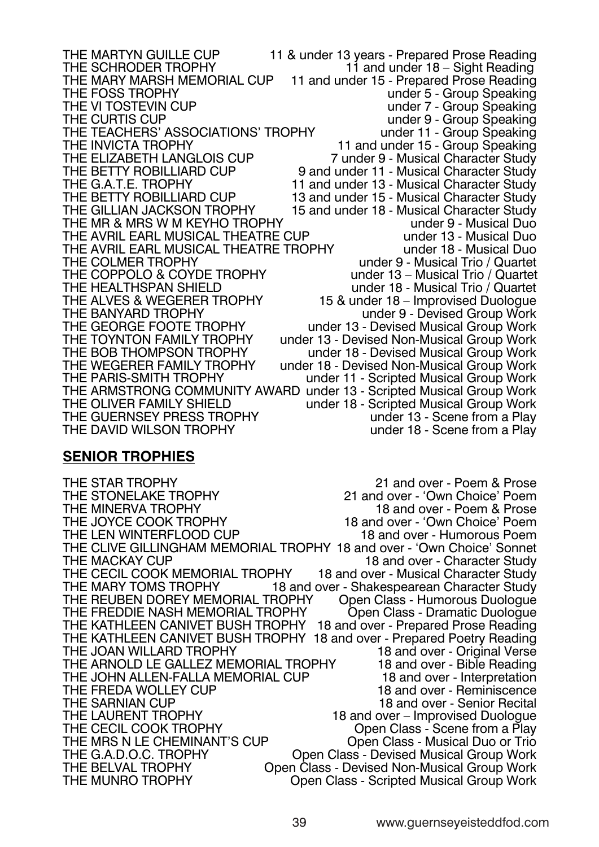THE MARTYN GUILLE CUP 11 & under 13 years - Prepared Prose Reading<br>THE SCHRODER TROPHY 11 and under 18 – Sight Reading THE MARTING SCHELL OF THE SCHRODER TROPHY<br>THE SCHRODER TROPHY 11 and under 15 - Prepared Prose Reading THE MARY MARSH MEMORIAL CUP 11 and under 15 - Prepared Prose Reading<br>THE FOSS TROPHY under 5 - Group Speaking THE FOSS TROPHY<br>THE VI TOSTEVIN CUP<br>THE VI TOSTEVIN CUP THE VI TOSTEVIN CUP<br>THE CURTIS CUP UNDER THE CURTIS CUP<br>THE CURTIS CUP under 9 - Group Speaking<br>under 11 - Group Speaking THE TEACHERS' ASSOCIATIONS' TROPHY<br>THE INVICTA TROPHY THE INVICTA TROPHY<br>THE ELIZABETH LANGLOIS CUP 11 and under 15 - Group Speaking THE ELIZABETH LANGLOIS CUP<br>
THE BETTY ROBILLIARD CUP
9 and under 11 - Musical Character Study THE BETTY ROBILLIARD CUP 9 and under 11 - Musical Character Study<br>THE G.A.T.E. TROPHY 11 and under 13 - Musical Character Study THE G.A.T.E. TROPHY 11 and under 13 - Musical Character Study<br>THE BETTY ROBILLIARD CUP 13 and under 15 - Musical Character Study THE BETTY ROBILLIARD CUP 13 and under 15 - Musical Character Study<br>THE GILLIAN JACKSON TROPHY 15 and under 18 - Musical Character Study 15 and under 18 - Musical Character Study<br>under 9 - Musical Duo THE MR & MRS W M KEYHO TROPHY under 9 - Musical Duo THE AVRIL EARL MUSICAL THEATRE CUP under 13 - Musical Duo THE AVRIL EARL MUSICAL THEATRE TROPHY<br>THE COLMER TROPHY under 9 - Musical Trio / Quartet<br>under 13 - Musical Trio / Quartet THE COPPOLO & COYDE TROPHY<br>THE HEALTHSPAN SHIELD under 18 - Musical Trio / Quartet THE ALVES & WEGERER TROPHY 15 & under 18 – Improvised Duologue<br>THE BANYARD TROPHY 15 & under 9 - Devised Group Work THE BANYARD TROPHY<br>THE GEORGE FOOTE TROPHY under 13 - Devised Musical Group Work THE GEORGE FOOTE TROPHY<br>THE TOYNTON FAMILY TROPHY under 13 - Devised Non-Musical Group Work THE TOYNTON FAMILY TROPHY under 13 - Devised Non-Musical Group Work<br>THE BOB THOMPSON TROPHY under 18 - Devised Musical Group Work THE BOB THOMPSON TROPHY<br>THE WEGERER FAMILY TROPHY under 18 - Devised Non-Musical Group Work THE WEGERER FAMILY TROPHY under 18 - Devised Non-Musical Group Work<br>THE PARIS-SMITH TROPHY under 11 - Scripted Musical Group Work under 11 - Scripted Musical Group Work THE ARMSTRONG COMMUNITY AWARD under 13 - Scripted Musical Group Work<br>THE OLIVER FAMILY SHIELD under 18 - Scripted Musical Group Work under 18 - Scripted Musical Group Work<br>under 13 - Scene from a Play THE GUERNSEY PRESS TROPHY<br>THE DAVID WILSON TROPHY under 18 - Scene from a Play

#### **SENIOR TROPHIES**

THE STAR TROPHY<br>THE STONELAKE TROPHY 21 and over - 'Own Choice' Poem THE STONELAKE TROPHY 21 and over - 'Own Choice' Poem<br>THE MINERVA TROPHY 18 and over - Poem & Prose THE MINERVA TROPHY 18 and over - Poem & Prose<br>THE JOYCE COOK TROPHY 18 and over - 'Own Choice' Poem 18 and over - 'Own Choice' Poem<br>18 and over - Humorous Poem THE LEN WINTERFLOOD CUP THE CLIVE GILLINGHAM MEMORIAL TROPHY 18 and over - 'Own Choice' Sonnet THE MACKAY CUP 18 and over - Character Study THE CECIL COOK MEMORIAL TROPHY 18 and over - Musical Character Study<br>THE MARY TOMS TROPHY 18 and over - Shakespearean Character Study 18 and over - Shakespearean Character Study<br>ROPHY Open Class - Humorous Duologue THE REUBEN DOREY MEMORIAL TROPHY Open Class - Humorous Duologue<br>THE FREDDIE NASH MEMORIAL TROPHY Open Class - Dramatic Duologue THE FREDDIE NASH MEMORIAL TROPHY THE KATHLEEN CANIVET BUSH TROPHY 18 and over - Prepared Prose Reading THE KATHLEEN CANIVET BUSH TROPHY 18 and over - Prepared Poetry Reading THE JOAN WILLARD TROPHY 18 and over - Original Verse<br>THE ARNOLD LE GALLEZ MEMORIAL TROPHY 18 and over - Bible Reading THE ARNOLD LE GALLEZ MEMORIAL TROPHY 18 and over - Bible Reading<br>THE JOHN ALLEN-FALLA MEMORIAL CUP 18 and over - Interpretation THE JOHN ALLEN-FALLA MEMORIAL CUP<br>THE FREDA WOLLEY CUP THE FREDA WOLLEY CUP<br>THE SARNIAN CUP 18 and over - Reminiscence<br>18 and over - Senior Recital THE SARNIAN CUP<br>
THE LAURENT TROPHY 18 and over - Improvised Duologue THE LAURENT TROPHY 18 and over – Improvised Duologue Open Class - Scene from a Plav THE MRS N LE CHEMINANT'S CUP <sup>Open</sup> Class - Musical Duo or Trio<br>THE G.A.D.O.C. TROPHY Open Class - Devised Musical Group Work THE G.A.D.O.C. TROPHY Open Class - Devised Musical Group Work<br>THE BELVAL TROPHY Open Class - Devised Non-Musical Group Work THE BELVAL TROPHY Chen Class - Devised Non-Musical Group Work<br>THE MUNRO TROPHY Chen Class - Scripted Musical Group Work Open Class - Scripted Musical Group Work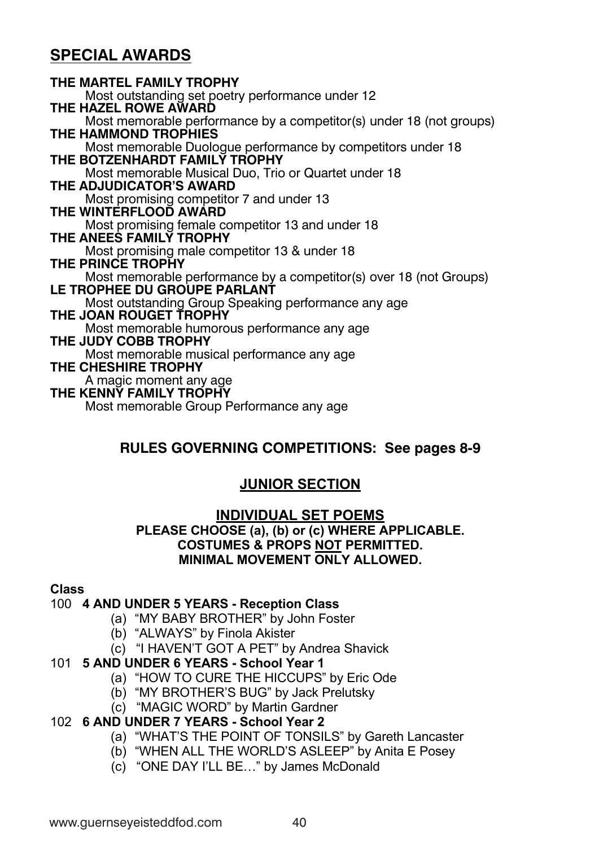### **SPECIAL AWARDS**

**THE MARTEL FAMILY TROPHY** Most outstanding set poetry performance under 12 **THE HAZEL ROWE AWARD**  Most memorable performance by a competitor(s) under 18 (not groups) **THE HAMMOND TROPHIES**  Most memorable Duologue performance by competitors under 18 **THE BOTZENHARDT FAMILY TROPHY**  Most memorable Musical Duo, Trio or Quartet under 18 **THE ADJUDICATOR'S AWARD**  Most promising competitor 7 and under 13 **THE WINTERFLOOD AWARD**  Most promising female competitor 13 and under 18 **THE ANEES FAMILY TROPHY**  Most promising male competitor 13 & under 18 **THE PRINCE TROPHY**  Most memorable performance by a competitor(s) over 18 (not Groups) **LE TROPHEE DU GROUPE PARLANT**  Most outstanding Group Speaking performance any age **THE JOAN ROUGET TROPHY**  Most memorable humorous performance any age **THE JUDY COBB TROPHY** Most memorable musical performance any age **THE CHESHIRE TROPHY** A magic moment any age **THE KENNY FAMILY TROPHY**  Most memorable Group Performance any age

### **RULES GOVERNING COMPETITIONS: See pages 8-9**

### **JUNIOR SECTION**

#### **INDIVIDUAL SET POEMS PLEASE CHOOSE (a), (b) or (c) WHERE APPLICABLE. COSTUMES & PROPS NOT PERMITTED. MINIMAL MOVEMENT ONLY ALLOWED.**

### **Class**

#### 100 **4 AND UNDER 5 YEARS - Reception Class**

- (a) "MY BABY BROTHER" by John Foster
- (b) "ALWAYS" by Finola Akister
- (c) "I HAVEN'T GOT A PET" by Andrea Shavick

#### 101 **5 AND UNDER 6 YEARS - School Year 1**

- (a) "HOW TO CURE THE HICCUPS" by Eric Ode
- (b) "MY BROTHER'S BUG" by Jack Prelutsky
- (c) "MAGIC WORD" by Martin Gardner

### 102 **6 AND UNDER 7 YEARS - School Year 2**

- (a) "WHAT'S THE POINT OF TONSILS" by Gareth Lancaster
- (b) "WHEN ALL THE WORLD'S ASLEEP" by Anita E Posey
- (c) "ONE DAY I'LL BE…" by James McDonald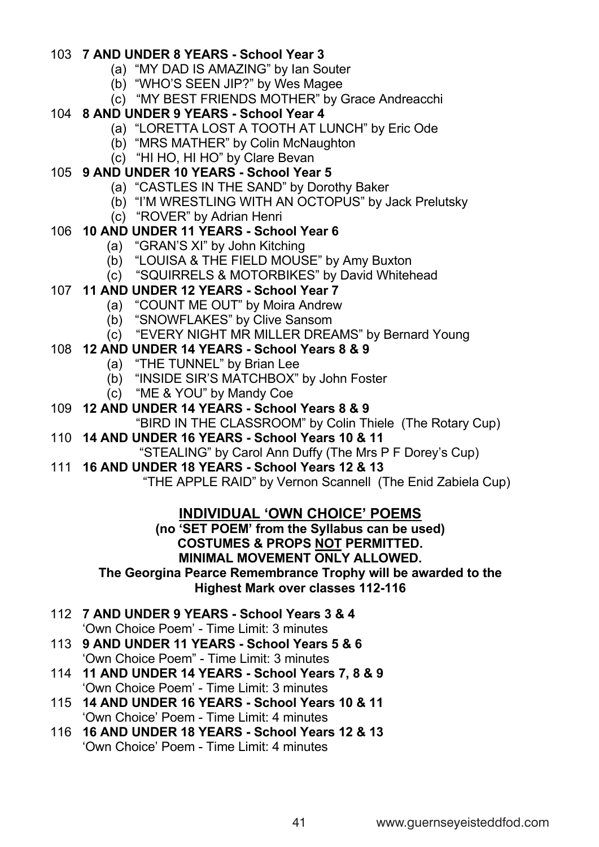#### 103 **7 AND UNDER 8 YEARS - School Year 3**

- (a) "MY DAD IS AMAZING" by Ian Souter
- (b) "WHO'S SEEN JIP?" by Wes Magee
- (c) "MY BEST FRIENDS MOTHER" by Grace Andreacchi

### 104 **8 AND UNDER 9 YEARS - School Year 4**

- (a) "LORETTA LOST A TOOTH AT LUNCH" by Eric Ode
- (b) "MRS MATHER" by Colin McNaughton
- (c) "HI HO, HI HO" by Clare Bevan

### 105 **9 AND UNDER 10 YEARS - School Year 5**

- (a) "CASTLES IN THE SAND" by Dorothy Baker
- (b) "I'M WRESTLING WITH AN OCTOPUS" by Jack Prelutsky
- (c) "ROVER" by Adrian Henri

### 106 **10 AND UNDER 11 YEARS - School Year 6**

- (a) "GRAN'S XI" by John Kitching
- (b) "LOUISA & THE FIELD MOUSE" by Amy Buxton
- (c) "SQUIRRELS & MOTORBIKES" by David Whitehead

### 107 **11 AND UNDER 12 YEARS - School Year 7**

- (a) "COUNT ME OUT" by Moira Andrew
- (b) "SNOWFLAKES" by Clive Sansom
- (c) "EVERY NIGHT MR MILLER DREAMS" by Bernard Young

### 108 **12 AND UNDER 14 YEARS - School Years 8 & 9**

- (a) "THE TUNNEL" by Brian Lee
- (b) "INSIDE SIR'S MATCHBOX" by John Foster
- (c) "ME & YOU" by Mandy Coe
- 109 **12 AND UNDER 14 YEARS - School Years 8 & 9**
	- "BIRD IN THE CLASSROOM" by Colin Thiele (The Rotary Cup)

### 110 **14 AND UNDER 16 YEARS - School Years 10 & 11**

"STEALING" by Carol Ann Duffy (The Mrs P F Dorey's Cup)

#### 111 **16 AND UNDER 18 YEARS - School Years 12 & 13**

"THE APPLE RAID" by Vernon Scannell (The Enid Zabiela Cup)

### **INDIVIDUAL 'OWN CHOICE' POEMS**

**(no 'SET POEM' from the Syllabus can be used) COSTUMES & PROPS NOT PERMITTED. MINIMAL MOVEMENT ONLY ALLOWED.**

### **The Georgina Pearce Remembrance Trophy will be awarded to the Highest Mark over classes 112-116**

112 **7 AND UNDER 9 YEARS - School Years 3 & 4**

'Own Choice Poem' - Time Limit: 3 minutes

- 113 **9 AND UNDER 11 YEARS - School Years 5 & 6** 'Own Choice Poem" - Time Limit: 3 minutes
- 114 **11 AND UNDER 14 YEARS - School Years 7, 8 & 9** 'Own Choice Poem' - Time Limit: 3 minutes
- 115 **14 AND UNDER 16 YEARS - School Years 10 & 11** 'Own Choice' Poem - Time Limit: 4 minutes
- 116 **16 AND UNDER 18 YEARS - School Years 12 & 13** 'Own Choice' Poem - Time Limit: 4 minutes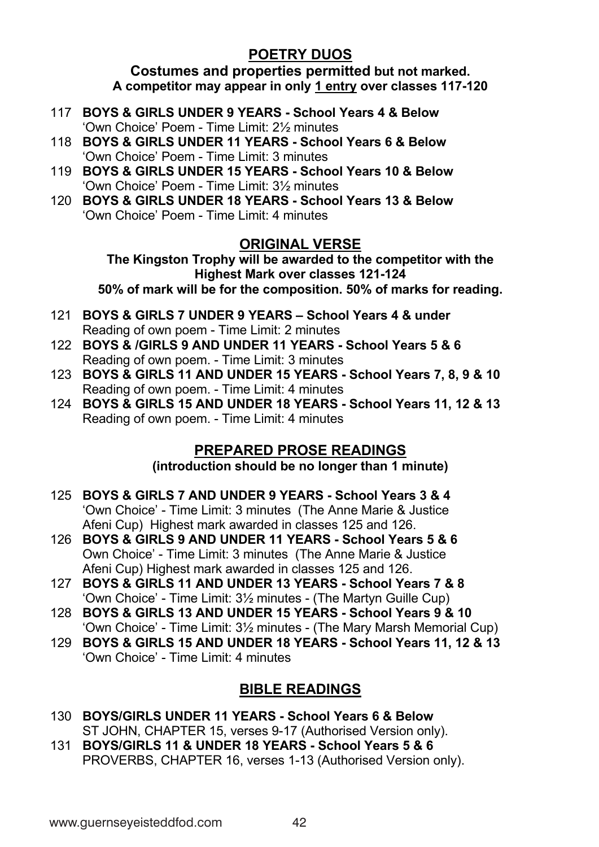### **POETRY DUOS**

**Costumes and properties permitted but not marked. A competitor may appear in only 1 entry over classes 117-120**

- 117 **BOYS & GIRLS UNDER 9 YEARS - School Years 4 & Below** 'Own Choice' Poem - Time Limit: 2½ minutes
- 118 **BOYS & GIRLS UNDER 11 YEARS - School Years 6 & Below** 'Own Choice' Poem - Time Limit: 3 minutes
- 119 **BOYS & GIRLS UNDER 15 YEARS - School Years 10 & Below** 'Own Choice' Poem - Time Limit: 3½ minutes
- 120 **BOYS & GIRLS UNDER 18 YEARS - School Years 13 & Below** 'Own Choice' Poem - Time Limit: 4 minutes

### **ORIGINAL VERSE**

**The Kingston Trophy will be awarded to the competitor with the Highest Mark over classes 121-124 50% of mark will be for the composition. 50% of marks for reading.**

- 121 **BOYS & GIRLS 7 UNDER 9 YEARS – School Years 4 & under** Reading of own poem - Time Limit: 2 minutes
- 122 **BOYS & /GIRLS 9 AND UNDER 11 YEARS - School Years 5 & 6** Reading of own poem. - Time Limit: 3 minutes
- 123 **BOYS & GIRLS 11 AND UNDER 15 YEARS - School Years 7, 8, 9 & 10** Reading of own poem. - Time Limit: 4 minutes
- 124 **BOYS & GIRLS 15 AND UNDER 18 YEARS - School Years 11, 12 & 13** Reading of own poem. - Time Limit: 4 minutes

### **PREPARED PROSE READINGS**

**(introduction should be no longer than 1 minute)**

- 125 **BOYS & GIRLS 7 AND UNDER 9 YEARS - School Years 3 & 4** 'Own Choice' - Time Limit: 3 minutes (The Anne Marie & Justice Afeni Cup) Highest mark awarded in classes 125 and 126.
- 126 **BOYS & GIRLS 9 AND UNDER 11 YEARS - School Years 5 & 6** Own Choice' - Time Limit: 3 minutes (The Anne Marie & Justice Afeni Cup) Highest mark awarded in classes 125 and 126.
- 127 **BOYS & GIRLS 11 AND UNDER 13 YEARS - School Years 7 & 8** 'Own Choice' - Time Limit: 3½ minutes - (The Martyn Guille Cup)
- 128 **BOYS & GIRLS 13 AND UNDER 15 YEARS - School Years 9 & 10** 'Own Choice' - Time Limit: 3½ minutes - (The Mary Marsh Memorial Cup)
- 129 **BOYS & GIRLS 15 AND UNDER 18 YEARS - School Years 11, 12 & 13** 'Own Choice' - Time Limit: 4 minutes

## **BIBLE READINGS**

- 130 **BOYS/GIRLS UNDER 11 YEARS - School Years 6 & Below** ST JOHN, CHAPTER 15, verses 9-17 (Authorised Version only).
- 131 **BOYS/GIRLS 11 & UNDER 18 YEARS - School Years 5 & 6** PROVERBS, CHAPTER 16, verses 1-13 (Authorised Version only).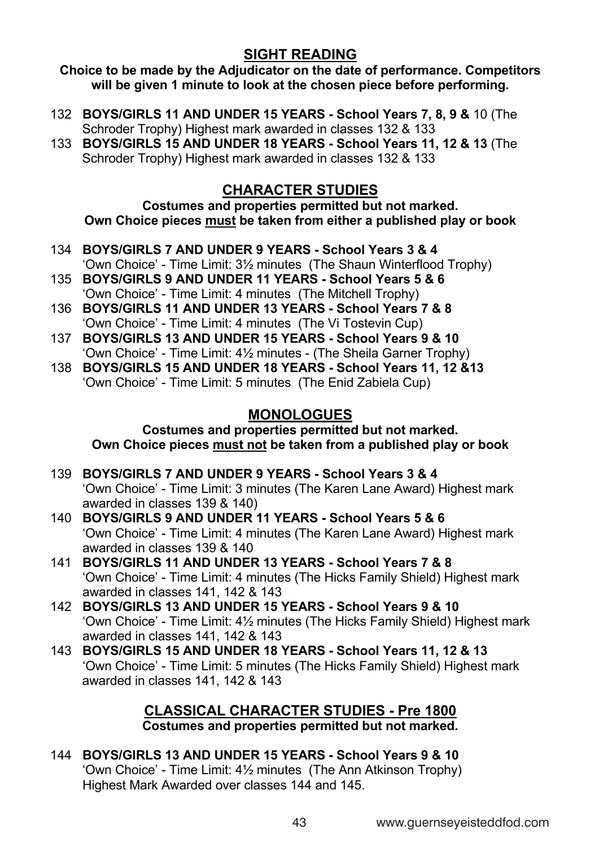### **SIGHT READING**

**Choice to be made by the Adjudicator on the date of performance. Competitors will be given 1 minute to look at the chosen piece before performing.**

- 132 **BOYS/GIRLS 11 AND UNDER 15 YEARS - School Years 7, 8, 9 &** 10 (The Schroder Trophy) Highest mark awarded in classes 132 & 133
- 133 **BOYS/GIRLS 15 AND UNDER 18 YEARS - School Years 11, 12 & 13** (The Schroder Trophy) Highest mark awarded in classes 132 & 133

### **CHARACTER STUDIES**

**Costumes and properties permitted but not marked. Own Choice pieces must be taken from either a published play or book**

- 134 **BOYS/GIRLS 7 AND UNDER 9 YEARS - School Years 3 & 4** 'Own Choice' - Time Limit: 3½ minutes (The Shaun Winterflood Trophy)
- 135 **BOYS/GIRLS 9 AND UNDER 11 YEARS - School Years 5 & 6** 'Own Choice' - Time Limit: 4 minutes (The Mitchell Trophy)
- 136 **BOYS/GIRLS 11 AND UNDER 13 YEARS - School Years 7 & 8** 'Own Choice' - Time Limit: 4 minutes (The Vi Tostevin Cup)
- 137 **BOYS/GIRLS 13 AND UNDER 15 YEARS - School Years 9 & 10**  'Own Choice' - Time Limit: 4½ minutes - (The Sheila Garner Trophy)
- 138 **BOYS/GIRLS 15 AND UNDER 18 YEARS - School Years 11, 12 &13** 'Own Choice' - Time Limit: 5 minutes (The Enid Zabiela Cup)

### **MONOLOGUES**

### **Costumes and properties permitted but not marked. Own Choice pieces must not be taken from a published play or book**

- 139 **BOYS/GIRLS 7 AND UNDER 9 YEARS - School Years 3 & 4** 'Own Choice' - Time Limit: 3 minutes (The Karen Lane Award) Highest mark awarded in classes 139 & 140)
- 140 **BOYS/GIRLS 9 AND UNDER 11 YEARS - School Years 5 & 6** 'Own Choice' - Time Limit: 4 minutes (The Karen Lane Award) Highest mark awarded in classes 139 & 140
- 141 **BOYS/GIRLS 11 AND UNDER 13 YEARS - School Years 7 & 8**  'Own Choice' - Time Limit: 4 minutes (The Hicks Family Shield) Highest mark awarded in classes 141, 142 & 143
- 142 **BOYS/GIRLS 13 AND UNDER 15 YEARS - School Years 9 & 10** 'Own Choice' - Time Limit: 4½ minutes (The Hicks Family Shield) Highest mark awarded in classes 141, 142 & 143
- 143 **BOYS/GIRLS 15 AND UNDER 18 YEARS - School Years 11, 12 & 13** 'Own Choice' - Time Limit: 5 minutes (The Hicks Family Shield) Highest mark awarded in classes 141, 142 & 143

### **CLASSICAL CHARACTER STUDIES - Pre 1800 Costumes and properties permitted but not marked.**

144 **BOYS/GIRLS 13 AND UNDER 15 YEARS - School Years 9 & 10** 'Own Choice' - Time Limit: 4½ minutes (The Ann Atkinson Trophy) Highest Mark Awarded over classes 144 and 145.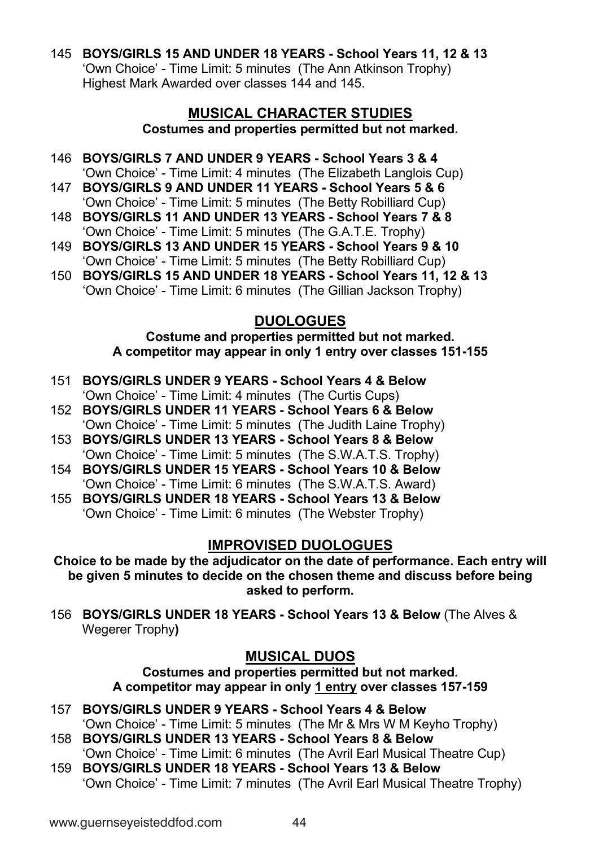145 **BOYS/GIRLS 15 AND UNDER 18 YEARS - School Years 11, 12 & 13** 'Own Choice' - Time Limit: 5 minutes (The Ann Atkinson Trophy) Highest Mark Awarded over classes 144 and 145.

#### **MUSICAL CHARACTER STUDIES Costumes and properties permitted but not marked.**

- 146 **BOYS/GIRLS 7 AND UNDER 9 YEARS - School Years 3 & 4** 'Own Choice' - Time Limit: 4 minutes (The Elizabeth Langlois Cup)
- 147 **BOYS/GIRLS 9 AND UNDER 11 YEARS - School Years 5 & 6** 'Own Choice' - Time Limit: 5 minutes (The Betty Robilliard Cup)
- 148 **BOYS/GIRLS 11 AND UNDER 13 YEARS - School Years 7 & 8** 'Own Choice' - Time Limit: 5 minutes (The G.A.T.E. Trophy)
- 149 **BOYS/GIRLS 13 AND UNDER 15 YEARS - School Years 9 & 10** 'Own Choice' - Time Limit: 5 minutes (The Betty Robilliard Cup)
- 150 **BOYS/GIRLS 15 AND UNDER 18 YEARS - School Years 11, 12 & 13** 'Own Choice' - Time Limit: 6 minutes (The Gillian Jackson Trophy)

### **DUOLOGUES**

#### **Costume and properties permitted but not marked. A competitor may appear in only 1 entry over classes 151-155**

- 151 **BOYS/GIRLS UNDER 9 YEARS - School Years 4 & Below** 'Own Choice' - Time Limit: 4 minutes (The Curtis Cups)
- 152 **BOYS/GIRLS UNDER 11 YEARS - School Years 6 & Below** 'Own Choice' - Time Limit: 5 minutes (The Judith Laine Trophy)
- 153 **BOYS/GIRLS UNDER 13 YEARS - School Years 8 & Below** 'Own Choice' - Time Limit: 5 minutes (The S.W.A.T.S. Trophy)
- 154 **BOYS/GIRLS UNDER 15 YEARS - School Years 10 & Below** 'Own Choice' - Time Limit: 6 minutes (The S.W.A.T.S. Award)
- 155 **BOYS/GIRLS UNDER 18 YEARS - School Years 13 & Below** 'Own Choice' - Time Limit: 6 minutes (The Webster Trophy)

### **IMPROVISED DUOLOGUES**

**Choice to be made by the adjudicator on the date of performance. Each entry will be given 5 minutes to decide on the chosen theme and discuss before being asked to perform.**

156 **BOYS/GIRLS UNDER 18 YEARS - School Years 13 & Below** (The Alves & Wegerer Trophy**)**

## **MUSICAL DUOS**

**Costumes and properties permitted but not marked. A competitor may appear in only 1 entry over classes 157-159**

- 157 **BOYS/GIRLS UNDER 9 YEARS - School Years 4 & Below** 'Own Choice' - Time Limit: 5 minutes (The Mr & Mrs W M Keyho Trophy)
- 158 **BOYS/GIRLS UNDER 13 YEARS - School Years 8 & Below** 'Own Choice' - Time Limit: 6 minutes (The Avril Earl Musical Theatre Cup)
- 159 **BOYS/GIRLS UNDER 18 YEARS - School Years 13 & Below** 'Own Choice' - Time Limit: 7 minutes (The Avril Earl Musical Theatre Trophy)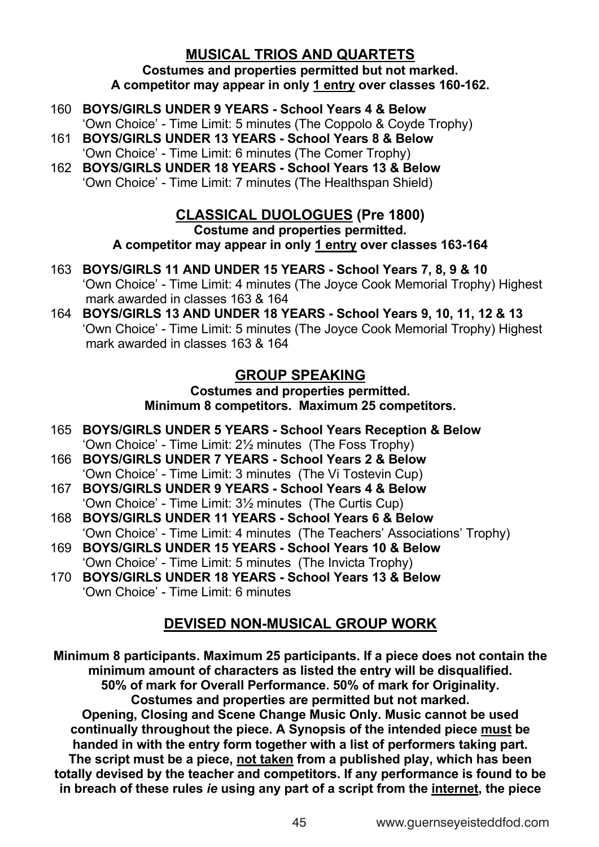### **MUSICAL TRIOS AND QUARTETS**

**Costumes and properties permitted but not marked. A competitor may appear in only 1 entry over classes 160-162.**

- 160 **BOYS/GIRLS UNDER 9 YEARS - School Years 4 & Below**
- 'Own Choice' Time Limit: 5 minutes (The Coppolo & Coyde Trophy) 161 **BOYS/GIRLS UNDER 13 YEARS - School Years 8 & Below**
- 'Own Choice' Time Limit: 6 minutes (The Comer Trophy)
- 162 **BOYS/GIRLS UNDER 18 YEARS - School Years 13 & Below** 'Own Choice' - Time Limit: 7 minutes (The Healthspan Shield)

### **CLASSICAL DUOLOGUES (Pre 1800)**

**Costume and properties permitted.**

**A competitor may appear in only 1 entry over classes 163-164**

- 163 **BOYS/GIRLS 11 AND UNDER 15 YEARS - School Years 7, 8, 9 & 10** 'Own Choice' - Time Limit: 4 minutes (The Joyce Cook Memorial Trophy) Highest mark awarded in classes 163 & 164
- 164 **BOYS/GIRLS 13 AND UNDER 18 YEARS - School Years 9, 10, 11, 12 & 13**  'Own Choice' - Time Limit: 5 minutes (The Joyce Cook Memorial Trophy) Highest mark awarded in classes 163 & 164

### **GROUP SPEAKING**

**Costumes and properties permitted. Minimum 8 competitors. Maximum 25 competitors.**

- 165 **BOYS/GIRLS UNDER 5 YEARS - School Years Reception & Below** 'Own Choice' - Time Limit: 2½ minutes (The Foss Trophy)
- 166 **BOYS/GIRLS UNDER 7 YEARS - School Years 2 & Below** 'Own Choice' - Time Limit: 3 minutes (The Vi Tostevin Cup)
- 167 **BOYS/GIRLS UNDER 9 YEARS - School Years 4 & Below** 'Own Choice' - Time Limit: 3½ minutes (The Curtis Cup)
- 168 **BOYS/GIRLS UNDER 11 YEARS - School Years 6 & Below** 'Own Choice' - Time Limit: 4 minutes (The Teachers' Associations' Trophy)
- 169 **BOYS/GIRLS UNDER 15 YEARS - School Years 10 & Below** 'Own Choice' - Time Limit: 5 minutes (The Invicta Trophy)
- 170 **BOYS/GIRLS UNDER 18 YEARS - School Years 13 & Below** 'Own Choice' - Time Limit: 6 minutes

### **DEVISED NON-MUSICAL GROUP WORK**

**Minimum 8 participants. Maximum 25 participants. If a piece does not contain the minimum amount of characters as listed the entry will be disqualified. 50% of mark for Overall Performance. 50% of mark for Originality. Costumes and properties are permitted but not marked. Opening, Closing and Scene Change Music Only. Music cannot be used continually throughout the piece. A Synopsis of the intended piece must be handed in with the entry form together with a list of performers taking part. The script must be a piece, not taken from a published play, which has been totally devised by the teacher and competitors. If any performance is found to be in breach of these rules** *ie* **using any part of a script from the internet, the piece**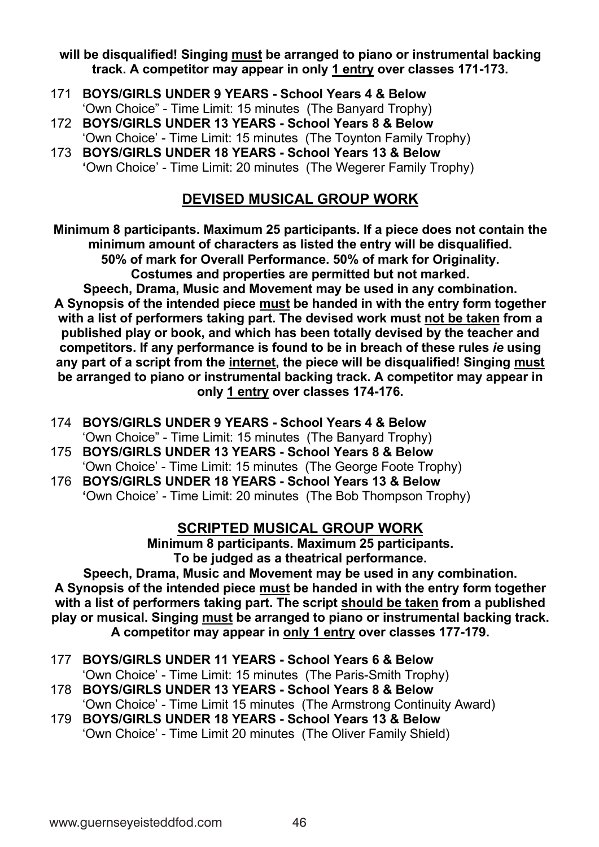#### **will be disqualified! Singing must be arranged to piano or instrumental backing track. A competitor may appear in only 1 entry over classes 171-173.**

- 171 **BOYS/GIRLS UNDER 9 YEARS - School Years 4 & Below** 'Own Choice" - Time Limit: 15 minutes (The Banyard Trophy)
- 172 **BOYS/GIRLS UNDER 13 YEARS - School Years 8 & Below**
- 'Own Choice' Time Limit: 15 minutes (The Toynton Family Trophy)
- 173 **BOYS/GIRLS UNDER 18 YEARS - School Years 13 & Below '**Own Choice' - Time Limit: 20 minutes (The Wegerer Family Trophy)

### **DEVISED MUSICAL GROUP WORK**

**Minimum 8 participants. Maximum 25 participants. If a piece does not contain the minimum amount of characters as listed the entry will be disqualified. 50% of mark for Overall Performance. 50% of mark for Originality. Costumes and properties are permitted but not marked.**

**Speech, Drama, Music and Movement may be used in any combination. A Synopsis of the intended piece must be handed in with the entry form together with a list of performers taking part. The devised work must not be taken from a published play or book, and which has been totally devised by the teacher and competitors. If any performance is found to be in breach of these rules** *ie* **using any part of a script from the internet, the piece will be disqualified! Singing must be arranged to piano or instrumental backing track. A competitor may appear in only 1 entry over classes 174-176.**

- 174 **BOYS/GIRLS UNDER 9 YEARS - School Years 4 & Below** 'Own Choice" - Time Limit: 15 minutes (The Banyard Trophy)
- 175 **BOYS/GIRLS UNDER 13 YEARS - School Years 8 & Below** 'Own Choice' - Time Limit: 15 minutes (The George Foote Trophy)
- 176 **BOYS/GIRLS UNDER 18 YEARS - School Years 13 & Below '**Own Choice' - Time Limit: 20 minutes (The Bob Thompson Trophy)

### **SCRIPTED MUSICAL GROUP WORK**

**Minimum 8 participants. Maximum 25 participants. To be judged as a theatrical performance.**

**Speech, Drama, Music and Movement may be used in any combination. A Synopsis of the intended piece must be handed in with the entry form together with a list of performers taking part. The script should be taken from a published play or musical. Singing must be arranged to piano or instrumental backing track. A competitor may appear in only 1 entry over classes 177-179.**

- 177 **BOYS/GIRLS UNDER 11 YEARS - School Years 6 & Below**
- 'Own Choice' Time Limit: 15 minutes (The Paris-Smith Trophy) 178 **BOYS/GIRLS UNDER 13 YEARS - School Years 8 & Below**
	- 'Own Choice' Time Limit 15 minutes (The Armstrong Continuity Award)

179 **BOYS/GIRLS UNDER 18 YEARS - School Years 13 & Below** 'Own Choice' - Time Limit 20 minutes (The Oliver Family Shield)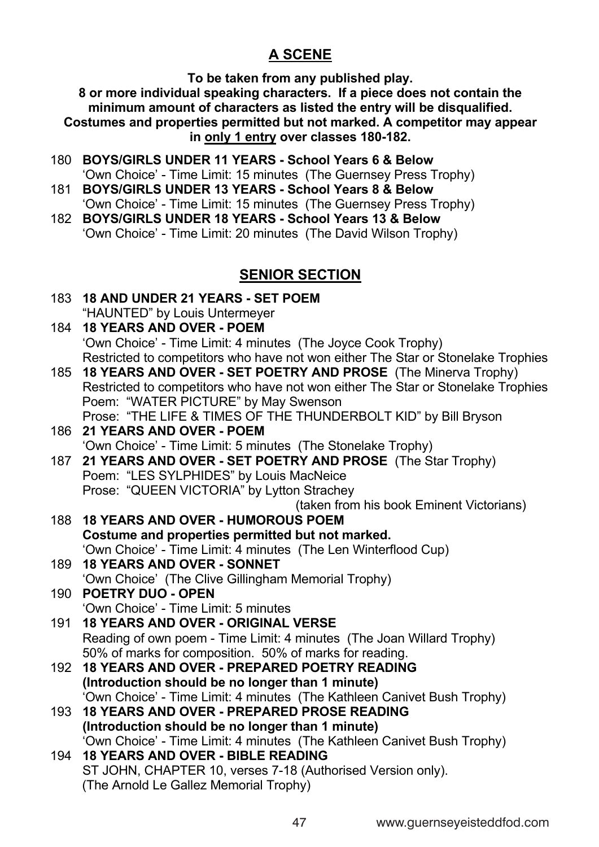### **A SCENE**

**To be taken from any published play.**

**8 or more individual speaking characters. If a piece does not contain the minimum amount of characters as listed the entry will be disqualified. Costumes and properties permitted but not marked. A competitor may appear in only 1 entry over classes 180-182.**

- 180 **BOYS/GIRLS UNDER 11 YEARS - School Years 6 & Below** 'Own Choice' - Time Limit: 15 minutes (The Guernsey Press Trophy)
- 181 **BOYS/GIRLS UNDER 13 YEARS - School Years 8 & Below** 'Own Choice' - Time Limit: 15 minutes (The Guernsey Press Trophy)
- 182 **BOYS/GIRLS UNDER 18 YEARS - School Years 13 & Below** 'Own Choice' - Time Limit: 20 minutes (The David Wilson Trophy)

### **SENIOR SECTION**

183 **18 AND UNDER 21 YEARS - SET POEM** "HAUNTED" by Louis Untermeyer

### 184 **18 YEARS AND OVER - POEM** 'Own Choice' - Time Limit: 4 minutes (The Joyce Cook Trophy) Restricted to competitors who have not won either The Star or Stonelake Trophies

- 185 **18 YEARS AND OVER - SET POETRY AND PROSE** (The Minerva Trophy) Restricted to competitors who have not won either The Star or Stonelake Trophies Poem: "WATER PICTURE" by May Swenson Prose: "THE LIFE & TIMES OF THE THUNDERBOLT KID" by Bill Bryson
- 186 **21 YEARS AND OVER - POEM** 'Own Choice' - Time Limit: 5 minutes (The Stonelake Trophy)
- 187 **21 YEARS AND OVER - SET POETRY AND PROSE** (The Star Trophy) Poem: "LES SYLPHIDES" by Louis MacNeice Prose: "QUEEN VICTORIA" by Lytton Strachey

(taken from his book Eminent Victorians)

- 188 **18 YEARS AND OVER - HUMOROUS POEM Costume and properties permitted but not marked.** 'Own Choice' - Time Limit: 4 minutes (The Len Winterflood Cup) 189 **18 YEARS AND OVER - SONNET** 'Own Choice' (The Clive Gillingham Memorial Trophy)
- 190 **POETRY DUO - OPEN** 'Own Choice' - Time Limit: 5 minutes
- 191 **18 YEARS AND OVER - ORIGINAL VERSE** Reading of own poem - Time Limit: 4 minutes (The Joan Willard Trophy) 50% of marks for composition. 50% of marks for reading.
- 192 **18 YEARS AND OVER - PREPARED POETRY READING (Introduction should be no longer than 1 minute)** 'Own Choice' - Time Limit: 4 minutes (The Kathleen Canivet Bush Trophy)
- 193 **18 YEARS AND OVER - PREPARED PROSE READING (Introduction should be no longer than 1 minute)** 'Own Choice' - Time Limit: 4 minutes (The Kathleen Canivet Bush Trophy)
- 194 **18 YEARS AND OVER - BIBLE READING** ST JOHN, CHAPTER 10, verses 7-18 (Authorised Version only). (The Arnold Le Gallez Memorial Trophy)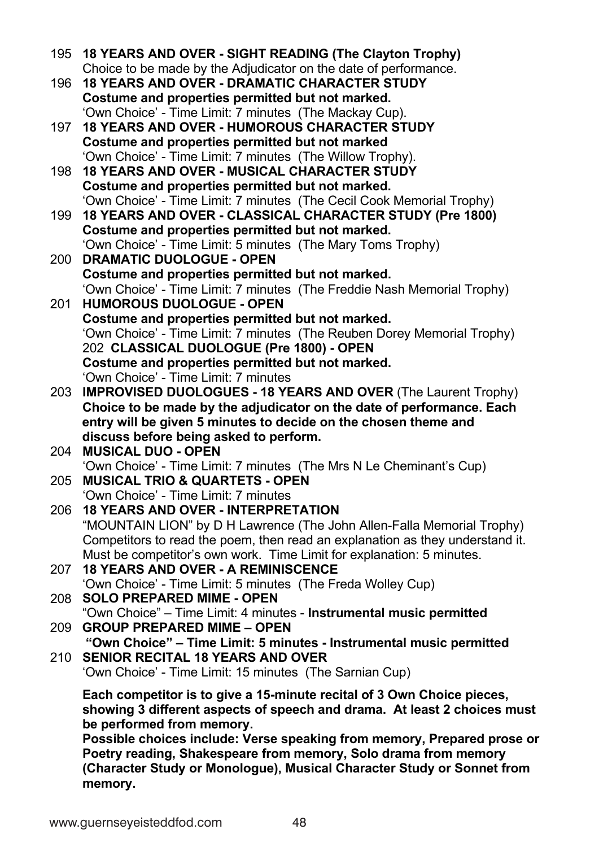- 195 **18 YEARS AND OVER - SIGHT READING (The Clayton Trophy)** Choice to be made by the Adjudicator on the date of performance.
- 196 **18 YEARS AND OVER - DRAMATIC CHARACTER STUDY Costume and properties permitted but not marked.** 'Own Choice' - Time Limit: 7 minutes (The Mackay Cup).
- 197 **18 YEARS AND OVER - HUMOROUS CHARACTER STUDY Costume and properties permitted but not marked**  'Own Choice' - Time Limit: 7 minutes (The Willow Trophy).
- 198 **18 YEARS AND OVER - MUSICAL CHARACTER STUDY Costume and properties permitted but not marked.** 'Own Choice' - Time Limit: 7 minutes (The Cecil Cook Memorial Trophy)
- 199 **18 YEARS AND OVER - CLASSICAL CHARACTER STUDY (Pre 1800) Costume and properties permitted but not marked.** 'Own Choice' - Time Limit: 5 minutes (The Mary Toms Trophy)
- 200 **DRAMATIC DUOLOGUE - OPEN Costume and properties permitted but not marked.** 'Own Choice' - Time Limit: 7 minutes (The Freddie Nash Memorial Trophy)
- 201 **HUMOROUS DUOLOGUE - OPEN Costume and properties permitted but not marked.** 'Own Choice' - Time Limit: 7 minutes (The Reuben Dorey Memorial Trophy) 202 **CLASSICAL DUOLOGUE (Pre 1800) - OPEN Costume and properties permitted but not marked.** 'Own Choice' - Time Limit: 7 minutes
- 203 **IMPROVISED DUOLOGUES - 18 YEARS AND OVER** (The Laurent Trophy) **Choice to be made by the adjudicator on the date of performance. Each entry will be given 5 minutes to decide on the chosen theme and discuss before being asked to perform.**
- 204 **MUSICAL DUO - OPEN** 'Own Choice' - Time Limit: 7 minutes (The Mrs N Le Cheminant's Cup)
- 205 **MUSICAL TRIO & QUARTETS - OPEN** 'Own Choice' - Time Limit: 7 minutes
- 206 **18 YEARS AND OVER - INTERPRETATION** "MOUNTAIN LION" by D H Lawrence (The John Allen-Falla Memorial Trophy) Competitors to read the poem, then read an explanation as they understand it. Must be competitor's own work. Time Limit for explanation: 5 minutes.
- 207 **18 YEARS AND OVER - A REMINISCENCE** 'Own Choice' - Time Limit: 5 minutes (The Freda Wolley Cup)
- 208 **SOLO PREPARED MIME - OPEN** "Own Choice" – Time Limit: 4 minutes - **Instrumental music permitted** 209 **GROUP PREPARED MIME – OPEN**
- **"Own Choice" – Time Limit: 5 minutes - Instrumental music permitted** 210 **SENIOR RECITAL 18 YEARS AND OVER**

```
'Own Choice' - Time Limit: 15 minutes (The Sarnian Cup)
```
**Each competitor is to give a 15-minute recital of 3 Own Choice pieces, showing 3 different aspects of speech and drama. At least 2 choices must be performed from memory.**

**Possible choices include: Verse speaking from memory, Prepared prose or Poetry reading, Shakespeare from memory, Solo drama from memory (Character Study or Monologue), Musical Character Study or Sonnet from memory.**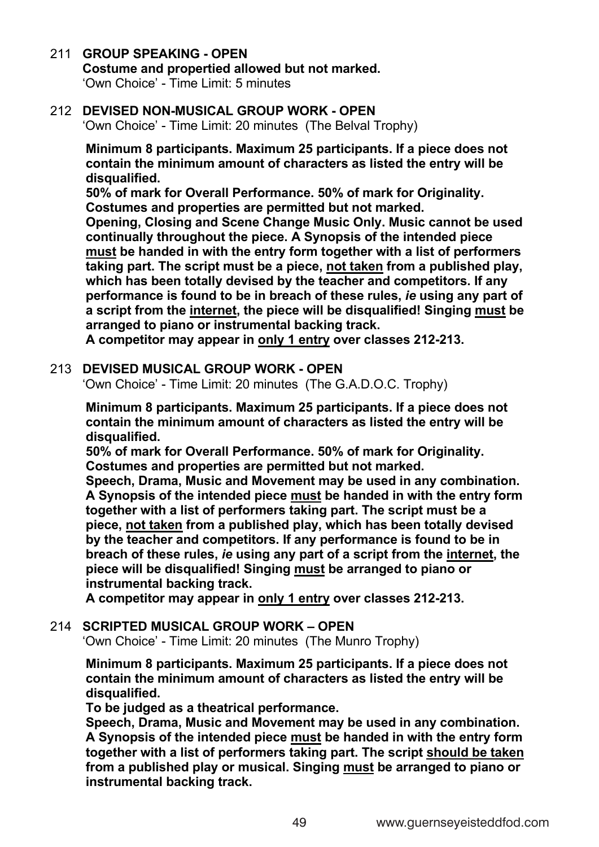### 211 **GROUP SPEAKING - OPEN**

### **Costume and propertied allowed but not marked.**

'Own Choice' - Time Limit: 5 minutes

### 212 **DEVISED NON-MUSICAL GROUP WORK - OPEN**

'Own Choice' - Time Limit: 20 minutes (The Belval Trophy)

 **Minimum 8 participants. Maximum 25 participants. If a piece does not contain the minimum amount of characters as listed the entry will be disqualified.**

 **50% of mark for Overall Performance. 50% of mark for Originality. Costumes and properties are permitted but not marked.**

 **Opening, Closing and Scene Change Music Only. Music cannot be used continually throughout the piece. A Synopsis of the intended piece must be handed in with the entry form together with a list of performers taking part. The script must be a piece, not taken from a published play, which has been totally devised by the teacher and competitors. If any performance is found to be in breach of these rules,** *ie* **using any part of a script from the internet, the piece will be disqualified! Singing must be arranged to piano or instrumental backing track.**

 **A competitor may appear in only 1 entry over classes 212-213.**

#### 213 **DEVISED MUSICAL GROUP WORK - OPEN**

'Own Choice' - Time Limit: 20 minutes (The G.A.D.O.C. Trophy)

 **Minimum 8 participants. Maximum 25 participants. If a piece does not contain the minimum amount of characters as listed the entry will be disqualified.** 

 **50% of mark for Overall Performance. 50% of mark for Originality. Costumes and properties are permitted but not marked.**

 **Speech, Drama, Music and Movement may be used in any combination. A Synopsis of the intended piece must be handed in with the entry form together with a list of performers taking part. The script must be a piece, not taken from a published play, which has been totally devised by the teacher and competitors. If any performance is found to be in breach of these rules,** *ie* **using any part of a script from the internet, the piece will be disqualified! Singing must be arranged to piano or instrumental backing track.**

 **A competitor may appear in only 1 entry over classes 212-213.**

#### 214 **SCRIPTED MUSICAL GROUP WORK – OPEN**

'Own Choice' - Time Limit: 20 minutes (The Munro Trophy)

 **Minimum 8 participants. Maximum 25 participants. If a piece does not contain the minimum amount of characters as listed the entry will be disqualified.** 

 **To be judged as a theatrical performance.**

 **Speech, Drama, Music and Movement may be used in any combination. A Synopsis of the intended piece must be handed in with the entry form together with a list of performers taking part. The script should be taken from a published play or musical. Singing must be arranged to piano or instrumental backing track.**